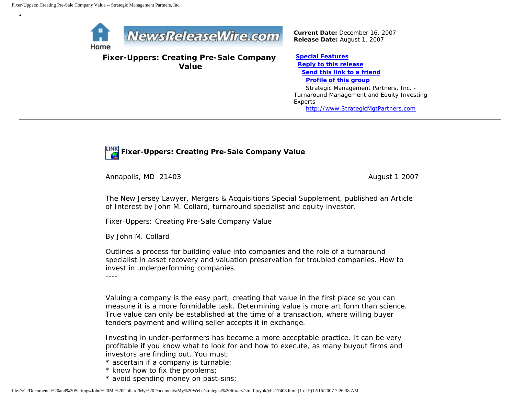•



**Fixer-Uppers: Creating Pre-Sale Company Value**

*Current Date:* December 16, 2007 *Release Date:* August 1, 2007

**[Special Features](javascript:openlittleme() [Reply to this release](file:///C|/Documents%20and%20Settings/John%20M.%20Collard/My%20Documents/My%20Webs/strategist%20library/stratlib/ybk/default.cfm?Action=ReplyRelease&Id=17408) [Send this link to a friend](file:///C|/Documents%20and%20Settings/John%20M.%20Collard/My%20Documents/My%20Webs/strategist%20library/stratlib/ybk/default.cfm?Action=SendLink&SendId=17408) [Profile of this group](file:///C|/Documents%20and%20Settings/John%20M.%20Collard/My%20Documents/My%20Webs/strategist%20library/stratlib/ybk/default.cfm?Action=Profile&ProfileId=623)** Strategic Management Partners, Inc. - Turnaround Management and Equity Investing Experts [http://www.StrategicMgtPartners.com](http://www.strategicmgtpartners.com/)



Annapolis, MD 21403 **August 1 2007** August 1 2007

The New Jersey Lawyer, Mergers & Acquisitions Special Supplement, published an Article of Interest by John M. Collard, turnaround specialist and equity investor.

Fixer-Uppers: Creating Pre-Sale Company Value

By John M. Collard

Outlines a process for building value into companies and the role of a turnaround specialist in asset recovery and valuation preservation for troubled companies. How to invest in underperforming companies.

----

Valuing a company is the easy part; creating that value in the first place so you can measure it is a more formidable task. Determining value is more art form than science. True value can only be established at the time of a transaction, where willing buyer tenders payment and willing seller accepts it in exchange.

Investing in under-performers has become a more acceptable practice. It can be very profitable if you know what to look for and how to execute, as many buyout firms and investors are finding out. You must:

- \* ascertain if a company is turnable;
- \* know how to fix the problems;
- \* avoid spending money on past-sins;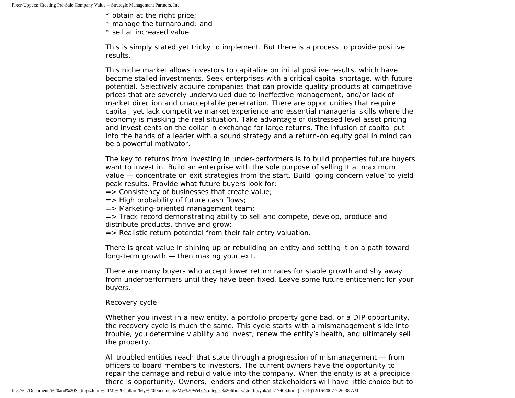- \* obtain at the right price;
- \* manage the turnaround; and
- \* sell at increased value.

This is simply stated yet tricky to implement. But there is a process to provide positive results.

This niche market allows investors to capitalize on initial positive results, which have become stalled investments. Seek enterprises with a critical capital shortage, with future potential. Selectively acquire companies that can provide quality products at competitive prices that are severely undervalued due to ineffective management, and/or lack of market direction and unacceptable penetration. There are opportunities that require capital, yet lack competitive market experience and essential managerial skills where the economy is masking the real situation. Take advantage of distressed level asset pricing and invest cents on the dollar in exchange for large returns. The infusion of capital put into the hands of a leader with a sound strategy and a return-on equity goal in mind can be a powerful motivator.

The key to returns from investing in under-performers is to build properties future buyers want to invest in. Build an enterprise with the sole purpose of selling it at maximum value — concentrate on exit strategies from the start. Build 'going concern value' to yield peak results. Provide what future buyers look for:

 $\Rightarrow$  Consistency of businesses that create value;

- $=$  > High probability of future cash flows;
- => Marketing-oriented management team;
- => Track record demonstrating ability to sell and compete, develop, produce and distribute products, thrive and grow;
- => Realistic return potential from their fair entry valuation.

There is great value in shining up or rebuilding an entity and setting it on a path toward long-term growth — then making your exit.

There are many buyers who accept lower return rates for stable growth and shy away from underperformers until they have been fixed. Leave some future enticement for your buyers.

# Recovery cycle

Whether you invest in a new entity, a portfolio property gone bad, or a DIP opportunity, the recovery cycle is much the same. This cycle starts with a mismanagement slide into trouble, you determine viability and invest, renew the entity's health, and ultimately sell the property.

All troubled entities reach that state through a progression of mismanagement — from officers to board members to investors. The current owners have the opportunity to repair the damage and rebuild value into the company. When the entity is at a precipice there is opportunity. Owners, lenders and other stakeholders will have little choice but to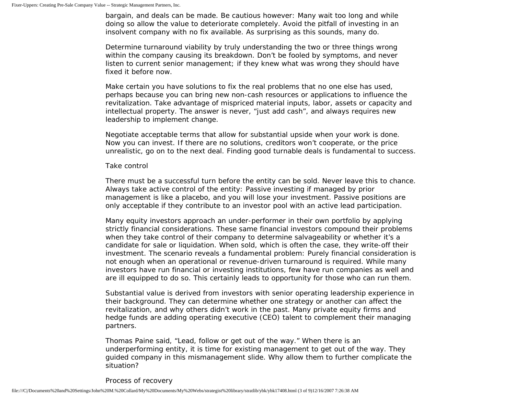bargain, and deals can be made. Be cautious however: Many wait too long and while doing so allow the value to deteriorate completely. Avoid the pitfall of investing in an insolvent company with no fix available. As surprising as this sounds, many do.

Determine turnaround viability by truly understanding the two or three things wrong within the company causing its breakdown. Don't be fooled by symptoms, and never listen to current senior management; if they knew what was wrong they should have fixed it before now.

Make certain you have solutions to fix the real problems that no one else has used, perhaps because you can bring new non-cash resources or applications to influence the revitalization. Take advantage of mispriced material inputs, labor, assets or capacity and intellectual property. The answer is never, "just add cash", and always requires new leadership to implement change.

Negotiate acceptable terms that allow for substantial upside when your work is done. Now you can invest. If there are no solutions, creditors won't cooperate, or the price unrealistic, go on to the next deal. Finding good turnable deals is fundamental to success.

### Take control

There must be a successful turn before the entity can be sold. Never leave this to chance. Always take active control of the entity: Passive investing if managed by prior management is like a placebo, and you will lose your investment. Passive positions are only acceptable if they contribute to an investor pool with an active lead participation.

Many equity investors approach an under-performer in their own portfolio by applying strictly financial considerations. These same financial investors compound their problems when they take control of their company to determine salvageability or whether it's a candidate for sale or liquidation. When sold, which is often the case, they write-off their investment. The scenario reveals a fundamental problem: Purely financial consideration is not enough when an operational or revenue-driven turnaround is required. While many investors have run financial or investing institutions, few have run companies as well and are ill equipped to do so. This certainly leads to opportunity for those who can run them.

Substantial value is derived from investors with senior operating leadership experience in their background. They can determine whether one strategy or another can affect the revitalization, and why others didn't work in the past. Many private equity firms and hedge funds are adding operating executive (CEO) talent to complement their managing partners.

Thomas Paine said, "Lead, follow or get out of the way." When there is an underperforming entity, it is time for existing management to get out of the way. They guided company in this mismanagement slide. Why allow them to further complicate the situation?

Process of recovery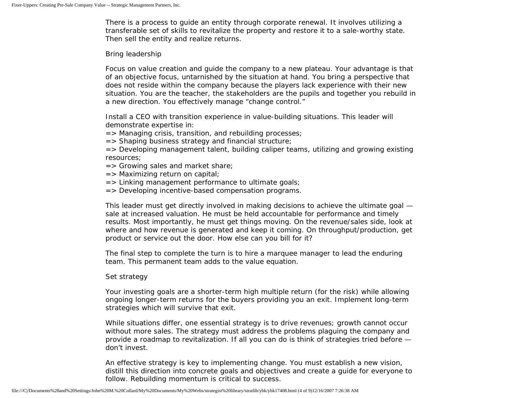There is a process to guide an entity through corporate renewal. It involves utilizing a transferable set of skills to revitalize the property and restore it to a sale-worthy state. Then sell the entity and realize returns.

## Bring leadership

Focus on value creation and guide the company to a new plateau. Your advantage is that of an objective focus, untarnished by the situation at hand. You bring a perspective that does not reside within the company because the players lack experience with their new situation. You are the teacher, the stakeholders are the pupils and together you rebuild in a new direction. You effectively manage "change control."

Install a CEO with transition experience in value-building situations. This leader will demonstrate expertise in:

=> Managing crisis, transition, and rebuilding processes;

=> Shaping business strategy and financial structure;

=> Developing management talent, building caliper teams, utilizing and growing existing resources;

- $=$  Srowing sales and market share;
- $\Rightarrow$  Maximizing return on capital;
- => Linking management performance to ultimate goals;
- => Developing incentive-based compensation programs.

This leader must get directly involved in making decisions to achieve the ultimate goal sale at increased valuation. He must be held accountable for performance and timely results. Most importantly, he must get things moving. On the revenue/sales side, look at where and how revenue is generated and keep it coming. On throughput/production, get product or service out the door. How else can you bill for it?

The final step to complete the turn is to hire a marquee manager to lead the enduring team. This permanent team adds to the value equation.

# Set strategy

Your investing goals are a shorter-term high multiple return (for the risk) while allowing ongoing longer-term returns for the buyers providing you an exit. Implement long-term strategies which will survive that exit.

While situations differ, one essential strategy is to drive revenues; growth cannot occur without more sales. The strategy must address the problems plaguing the company and provide a roadmap to revitalization. If all you can do is think of strategies tried before don't invest.

An effective strategy is key to implementing change. You must establish a new vision, distill this direction into concrete goals and objectives and create a guide for everyone to follow. Rebuilding momentum is critical to success.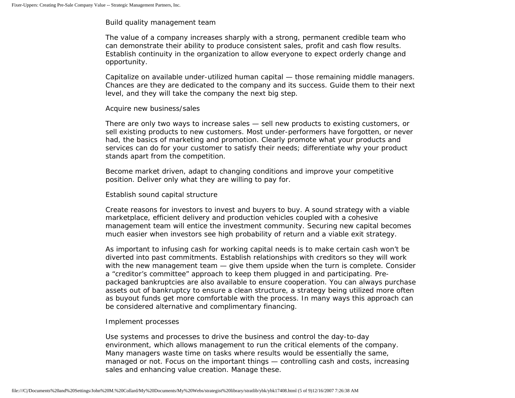## Build quality management team

The value of a company increases sharply with a strong, permanent credible team who can demonstrate their ability to produce consistent sales, profit and cash flow results. Establish continuity in the organization to allow everyone to expect orderly change and opportunity.

Capitalize on available under-utilized human capital — those remaining middle managers. Chances are they are dedicated to the company and its success. Guide them to their next level, and they will take the company the next big step.

#### Acquire new business/sales

There are only two ways to increase sales — sell new products to existing customers, or sell existing products to new customers. Most under-performers have forgotten, or never had, the basics of marketing and promotion. Clearly promote what your products and services can do for your customer to satisfy their needs; differentiate why your product stands apart from the competition.

Become market driven, adapt to changing conditions and improve your competitive position. Deliver only what they are willing to pay for.

### Establish sound capital structure

Create reasons for investors to invest and buyers to buy. A sound strategy with a viable marketplace, efficient delivery and production vehicles coupled with a cohesive management team will entice the investment community. Securing new capital becomes much easier when investors see high probability of return and a viable exit strategy.

As important to infusing cash for working capital needs is to make certain cash won't be diverted into past commitments. Establish relationships with creditors so they will work with the new management team — give them upside when the turn is complete. Consider a "creditor's committee" approach to keep them plugged in and participating. Prepackaged bankruptcies are also available to ensure cooperation. You can always purchase assets out of bankruptcy to ensure a clean structure, a strategy being utilized more often as buyout funds get more comfortable with the process. In many ways this approach can be considered alternative and complimentary financing.

### Implement processes

Use systems and processes to drive the business and control the day-to-day environment, which allows management to run the critical elements of the company. Many managers waste time on tasks where results would be essentially the same, managed or not. Focus on the important things — controlling cash and costs, increasing sales and enhancing value creation. Manage these.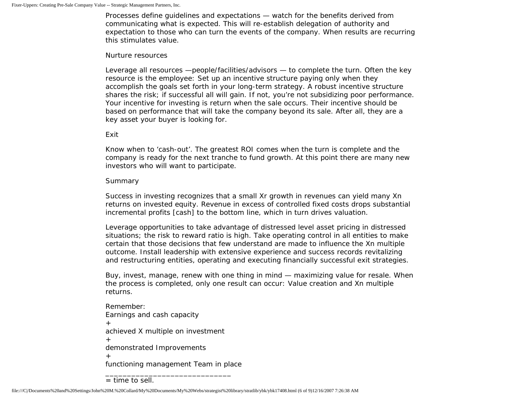Processes define guidelines and expectations — watch for the benefits derived from communicating what is expected. This will re-establish delegation of authority and expectation to those who can turn the events of the company. When results are recurring this stimulates value.

#### Nurture resources

Leverage all resources —people/facilities/advisors — to complete the turn. Often the key resource is the employee: Set up an incentive structure paying only when they accomplish the goals set forth in your long-term strategy. A robust incentive structure shares the risk; if successful all will gain. If not, you're not subsidizing poor performance. Your incentive for investing is return when the sale occurs. Their incentive should be based on performance that will take the company beyond its sale. After all, they are a key asset your buyer is looking for.

### Exit

Know when to 'cash-out'. The greatest ROI comes when the turn is complete and the company is ready for the next tranche to fund growth. At this point there are many new investors who will want to participate.

### Summary

Success in investing recognizes that a small Xr growth in revenues can yield many Xn returns on invested equity. Revenue in excess of controlled fixed costs drops substantial incremental profits [cash] to the bottom line, which in turn drives valuation.

Leverage opportunities to take advantage of distressed level asset pricing in distressed situations; the risk to reward ratio is high. Take operating control in all entities to make certain that those decisions that few understand are made to influence the Xn multiple outcome. Install leadership with extensive experience and success records revitalizing and restructuring entities, operating and executing financially successful exit strategies.

Buy, invest, manage, renew with one thing in mind — maximizing value for resale. When the process is completed, only one result can occur: Value creation and Xn multiple returns.

Remember: Earnings and cash capacity + achieved X multiple on investment + demonstrated Improvements  $+$ functioning management Team in place

\_\_\_\_\_\_\_\_\_\_\_\_\_\_\_\_\_\_\_\_\_\_\_\_\_\_\_\_\_

<sup>=</sup> time to sell.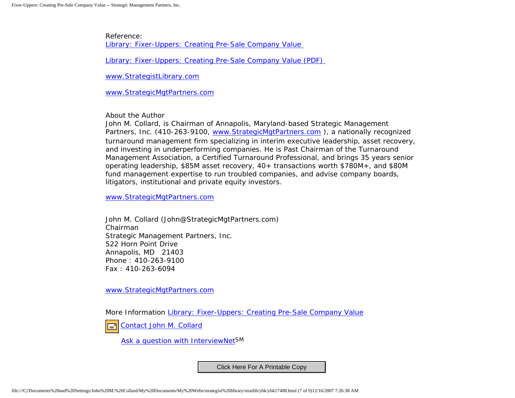Reference: [Library: Fixer-Uppers: Creating Pre-Sale Company Value](http://members.aol.com/stratlib3/njlfixup.html)

[Library: Fixer-Uppers: Creating Pre-Sale Company Value \(PDF\)](http://members.aol.com/stratlib3/njlfixup.pdf) 

[www.StrategistLibrary.com](http://www.strategistlibrary.com/)

[www.StrategicMgtPartners.com](http://www.strategicmgtpartners.com/)

About the Author

John M. Collard, is Chairman of Annapolis, Maryland-based Strategic Management Partners, Inc. (410-263-9100, www.StrategicMgtPartners.com), a nationally recognized turnaround management firm specializing in interim executive leadership, asset recovery, and investing in underperforming companies. He is Past Chairman of the Turnaround Management Association, a Certified Turnaround Professional, and brings 35 years senior operating leadership, \$85M asset recovery, 40+ transactions worth \$780M+, and \$80M fund management expertise to run troubled companies, and advise company boards, litigators, institutional and private equity investors.

[www.StrategicMgtPartners.com](http://www.strategicmgtpartners.com/)

John M. Collard (John@StrategicMgtPartners.com) Chairman Strategic Management Partners, Inc. 522 Horn Point Drive Annapolis, MD 21403 Phone : 410-263-9100 Fax : 410-263-6094

[www.StrategicMgtPartners.com](http://www.strategicmgtpartners.com/)

More Information [Library: Fixer-Uppers: Creating Pre-Sale Company Value](http://members.aol.com/stratlib3/njlfixup.html)

[Contact John M. Collard](http://www.expertclick.com/expertClick/contact/default.cfm?Action=ContactExpert&GroupID=1016)

[Ask a question with InterviewNetS](http://www.expertclick.com/expertClick/contact/default.cfm?GroupID=1016)M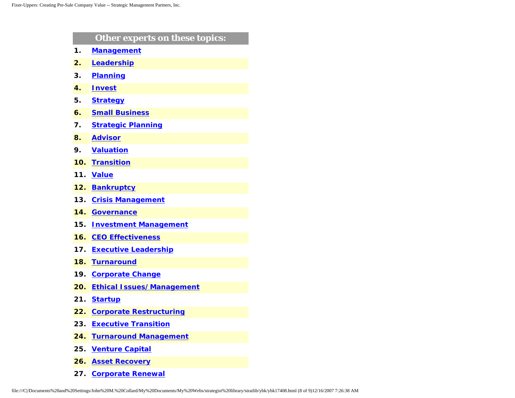|     | Other experts on these topics:   |
|-----|----------------------------------|
| 1.  | <b>Management</b>                |
| 2.  | Leadership                       |
| 3.  | <b>Planning</b>                  |
| 4.  | <b>Invest</b>                    |
| 5.  | <b>Strategy</b>                  |
| 6.  | <b>Small Business</b>            |
| 7.  | <b>Strategic Planning</b>        |
| 8.  | <b>Advisor</b>                   |
| 9.  | <b>Valuation</b>                 |
| 10. | <b>Transition</b>                |
| 11. | <b>Value</b>                     |
| 12. | <b>Bankruptcy</b>                |
| 13. | <b>Crisis Management</b>         |
| 14. | <b>Governance</b>                |
| 15. | <b>Investment Management</b>     |
| 16. | <b>CEO Effectiveness</b>         |
| 17. | <b>Executive Leadership</b>      |
| 18. | <b>Turnaround</b>                |
| 19. | <b>Corporate Change</b>          |
| 20. | <b>Ethical Issues/Management</b> |
| 21. | <b>Startup</b>                   |
| 22. | <b>Corporate Restructuring</b>   |
| 23. | <b>Executive Transition</b>      |
| 24. | <b>Turnaround Management</b>     |
| 25. | <b>Venture Capital</b>           |
| 26. | <b>Asset Recovery</b>            |

**27. [Corporate Renewal](http://www.expertclick.com/search/default.cfm?SearchCriteria=Corporate Renewal)**